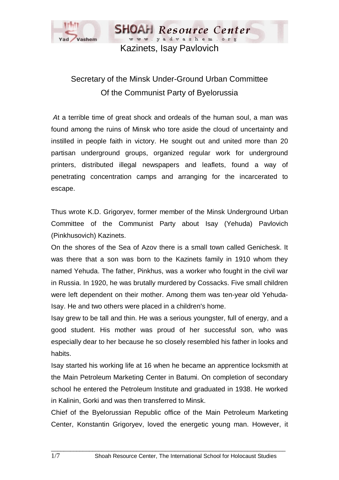

www.yadvashem.org Kazinets, Isay Pavlovich

**SHOAH** Resource Center

## Secretary of the Minsk Under-Ground Urban Committee Of the Communist Party of Byelorussia

 *A*t a terrible time of great shock and ordeals of the human soul, a man was found among the ruins of Minsk who tore aside the cloud of uncertainty and instilled in people faith in victory. He sought out and united more than 20 partisan underground groups, organized regular work for underground printers, distributed illegal newspapers and leaflets, found a way of penetrating concentration camps and arranging for the incarcerated to escape.

Thus wrote K.D. Grigoryev, former member of the Minsk Underground Urban Committee of the Communist Party about Isay (Yehuda) Pavlovich (Pinkhusovich) Kazinets.

On the shores of the Sea of Azov there is a small town called Genichesk. It was there that a son was born to the Kazinets family in 1910 whom they named Yehuda. The father, Pinkhus, was a worker who fought in the civil war in Russia. In 1920, he was brutally murdered by Cossacks. Five small children were left dependent on their mother. Among them was ten-year old Yehuda-Isay. He and two others were placed in a children's home.

Isay grew to be tall and thin. He was a serious youngster, full of energy, and a good student. His mother was proud of her successful son, who was especially dear to her because he so closely resembled his father in looks and habits.

Isay started his working life at 16 when he became an apprentice locksmith at the Main Petroleum Marketing Center in Batumi. On completion of secondary school he entered the Petroleum Institute and graduated in 1938. He worked in Kalinin, Gorki and was then transferred to Minsk.

Chief of the Byelorussian Republic office of the Main Petroleum Marketing Center, Konstantin Grigoryev, loved the energetic young man. However, it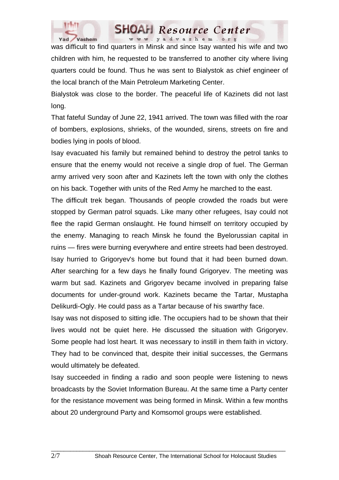

## **SHOAH** Resource Center www.yadvashem.org

was difficult to find quarters in Minsk and since Isay wanted his wife and two children with him, he requested to be transferred to another city where living quarters could be found. Thus he was sent to Bialystok as chief engineer of the local branch of the Main Petroleum Marketing Center.

Bialystok was close to the border. The peaceful life of Kazinets did not last long.

That fateful Sunday of June 22, 1941 arrived. The town was filled with the roar of bombers, explosions, shrieks, of the wounded, sirens, streets on fire and bodies lying in pools of blood.

Isay evacuated his family but remained behind to destroy the petrol tanks to ensure that the enemy would not receive a single drop of fuel. The German army arrived very soon after and Kazinets left the town with only the clothes on his back. Together with units of the Red Army he marched to the east.

The difficult trek began. Thousands of people crowded the roads but were stopped by German patrol squads. Like many other refugees, Isay could not flee the rapid German onslaught. He found himself on territory occupied by the enemy. Managing to reach Minsk he found the Byelorussian capital in ruins — fires were burning everywhere and entire streets had been destroyed. Isay hurried to Grigoryev's home but found that it had been burned down. After searching for a few days he finally found Grigoryev. The meeting was warm but sad. Kazinets and Grigoryev became involved in preparing false documents for under-ground work. Kazinets became the Tartar, Mustapha Delikurdi-Ogly. He could pass as a Tartar because of his swarthy face.

Isay was not disposed to sitting idle. The occupiers had to be shown that their lives would not be quiet here. He discussed the situation with Grigoryev. Some people had lost heart. It was necessary to instill in them faith in victory. They had to be convinced that, despite their initial successes, the Germans would ultimately be defeated.

Isay succeeded in finding a radio and soon people were listening to news broadcasts by the Soviet Information Bureau. At the same time a Party center for the resistance movement was being formed in Minsk. Within a few months about 20 underground Party and Komsomol groups were established.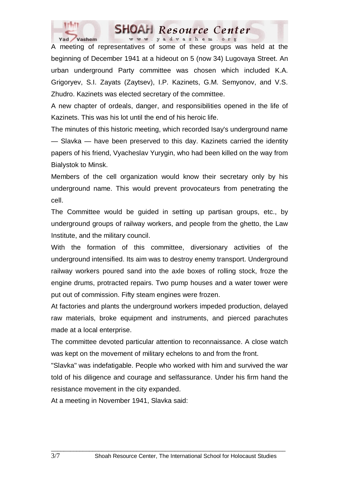

## **SHOAH** Resource Center www.yadvashem.org

A meeting of representatives of some of these groups was held at the beginning of December 1941 at a hideout on 5 (now 34) Lugovaya Street. An urban underground Party committee was chosen which included K.A. Grigoryev, S.I. Zayats (Zaytsev), I.P. Kazinets, G.M. Semyonov, and V.S. Zhudro. Kazinets was elected secretary of the committee.

A new chapter of ordeals, danger, and responsibilities opened in the life of Kazinets. This was his lot until the end of his heroic life.

The minutes of this historic meeting, which recorded Isay's underground name — Slavka — have been preserved to this day. Kazinets carried the identity papers of his friend, Vyacheslav Yurygin, who had been killed on the way from Bialystok to Minsk.

Members of the cell organization would know their secretary only by his underground name. This would prevent provocateurs from penetrating the cell.

The Committee would be guided in setting up partisan groups, etc., by underground groups of railway workers, and people from the ghetto, the Law Institute, and the military council.

With the formation of this committee, diversionary activities of the underground intensified. Its aim was to destroy enemy transport. Underground railway workers poured sand into the axle boxes of rolling stock, froze the engine drums, protracted repairs. Two pump houses and a water tower were put out of commission. Fifty steam engines were frozen.

At factories and plants the underground workers impeded production, delayed raw materials, broke equipment and instruments, and pierced parachutes made at a local enterprise.

The committee devoted particular attention to reconnaissance. A close watch was kept on the movement of military echelons to and from the front.

"Slavka" was indefatigable. People who worked with him and survived the war told of his diligence and courage and selfassurance. Under his firm hand the resistance movement in the city expanded.

 $\Box$  . The contribution of the contribution of the contribution of the contribution of the contribution of the contribution of the contribution of the contribution of the contribution of the contribution of the contributi

At a meeting in November 1941, Slavka said: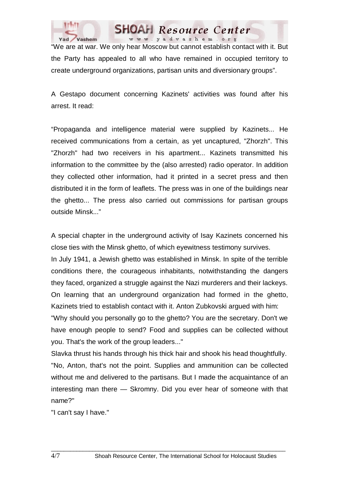

"We are at war. We only hear Moscow but cannot establish contact with it. But the Party has appealed to all who have remained in occupied territory to create underground organizations, partisan units and diversionary groups".

**SHOAH** Resource Center www.yadvashem.org

A Gestapo document concerning Kazinets' activities was found after his arrest. It read:

"Propaganda and intelligence material were supplied by Kazinets... He received communications from a certain, as yet uncaptured, "Zhorzh". This "Zhorzh" had two receivers in his apartment... Kazinets transmitted his information to the committee by the (also arrested) radio operator. In addition they collected other information, had it printed in a secret press and then distributed it in the form of leaflets. The press was in one of the buildings near the ghetto... The press also carried out commissions for partisan groups outside Minsk..."

A special chapter in the underground activity of Isay Kazinets concerned his close ties with the Minsk ghetto, of which eyewitness testimony survives.

In July 1941, a Jewish ghetto was established in Minsk. In spite of the terrible conditions there, the courageous inhabitants, notwithstanding the dangers they faced, organized a struggle against the Nazi murderers and their lackeys. On learning that an underground organization had formed in the ghetto, Kazinets tried to establish contact with it. Anton Zubkovski argued with him:

"Why should you personally go to the ghetto? You are the secretary. Don't we have enough people to send? Food and supplies can be collected without you. That's the work of the group leaders..."

Slavka thrust his hands through his thick hair and shook his head thoughtfully. "No, Anton, that's not the point. Supplies and ammunition can be collected without me and delivered to the partisans. But I made the acquaintance of an interesting man there — Skromny. Did you ever hear of someone with that name?"

 $\Box$  . The contribution of the contribution of the contribution of the contribution of the contribution of the contribution of the contribution of the contribution of the contribution of the contribution of the contributi

"I can't say I have."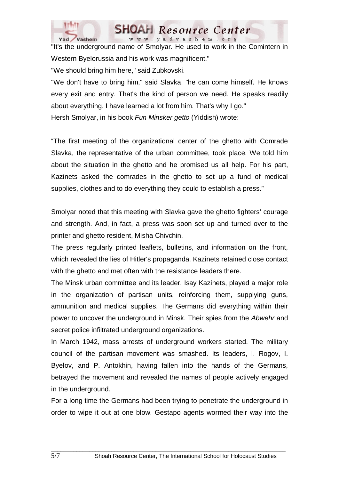

"It's the underground name of Smolyar. He used to work in the Comintern in Western Byelorussia and his work was magnificent." "We should bring him here," said Zubkovski.

www.yadvashem.org

Resource Center

"We don't have to bring him," said Slavka, "he can come himself. He knows every exit and entry. That's the kind of person we need. He speaks readily about everything. I have learned a lot from him. That's why I go." Hersh Smolyar, in his book *Fun Minsker getto* (Yiddish) wrote:

"The first meeting of the organizational center of the ghetto with Comrade Slavka, the representative of the urban committee, took place. We told him about the situation in the ghetto and he promised us all help. For his part, Kazinets asked the comrades in the ghetto to set up a fund of medical supplies, clothes and to do everything they could to establish a press."

Smolyar noted that this meeting with Slavka gave the ghetto fighters' courage and strength. And, in fact, a press was soon set up and turned over to the printer and ghetto resident, Misha Chivchin.

The press regularly printed leaflets, bulletins, and information on the front, which revealed the lies of Hitler's propaganda. Kazinets retained close contact with the ghetto and met often with the resistance leaders there.

The Minsk urban committee and its leader, Isay Kazinets, played a major role in the organization of partisan units, reinforcing them, supplying guns, ammunition and medical supplies. The Germans did everything within their power to uncover the underground in Minsk. Their spies from the *Abwehr* and secret police infiltrated underground organizations.

In March 1942, mass arrests of underground workers started. The military council of the partisan movement was smashed. Its leaders, I. Rogov, I. Byelov, and P. Antokhin, having fallen into the hands of the Germans, betrayed the movement and revealed the names of people actively engaged in the underground.

For a long time the Germans had been trying to penetrate the underground in order to wipe it out at one blow. Gestapo agents wormed their way into the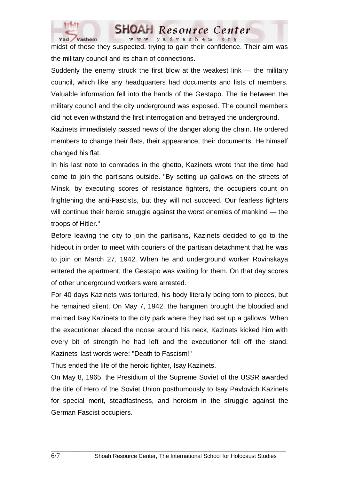

midst of those they suspected, trying to gain their confidence. Their aim was the military council and its chain of connections.

www.yadvashem.org

Resource Center

Suddenly the enemy struck the first blow at the weakest link — the military council, which like any headquarters had documents and lists of members. Valuable information fell into the hands of the Gestapo. The tie between the military council and the city underground was exposed. The council members did not even withstand the first interrogation and betrayed the underground.

Kazinets immediately passed news of the danger along the chain. He ordered members to change their flats, their appearance, their documents. He himself changed his flat.

In his last note to comrades in the ghetto, Kazinets wrote that the time had come to join the partisans outside. "By setting up gallows on the streets of Minsk, by executing scores of resistance fighters, the occupiers count on frightening the anti-Fascists, but they will not succeed. Our fearless fighters will continue their heroic struggle against the worst enemies of mankind — the troops of Hitler."

Before leaving the city to join the partisans, Kazinets decided to go to the hideout in order to meet with couriers of the partisan detachment that he was to join on March 27, 1942. When he and underground worker Rovinskaya entered the apartment, the Gestapo was waiting for them. On that day scores of other underground workers were arrested.

For 40 days Kazinets was tortured, his body literally being torn to pieces, but he remained silent. On May 7, 1942, the hangmen brought the bloodied and maimed Isay Kazinets to the city park where they had set up a gallows. When the executioner placed the noose around his neck, Kazinets kicked him with every bit of strength he had left and the executioner fell off the stand. Kazinets' last words were: "Death to Fascism!"

Thus ended the life of the heroic fighter, Isay Kazinets.

On May 8, 1965, the Presidium of the Supreme Soviet of the USSR awarded the title of Hero of the Soviet Union posthumously to Isay Pavlovich Kazinets for special merit, steadfastness, and heroism in the struggle against the German Fascist occupiers.